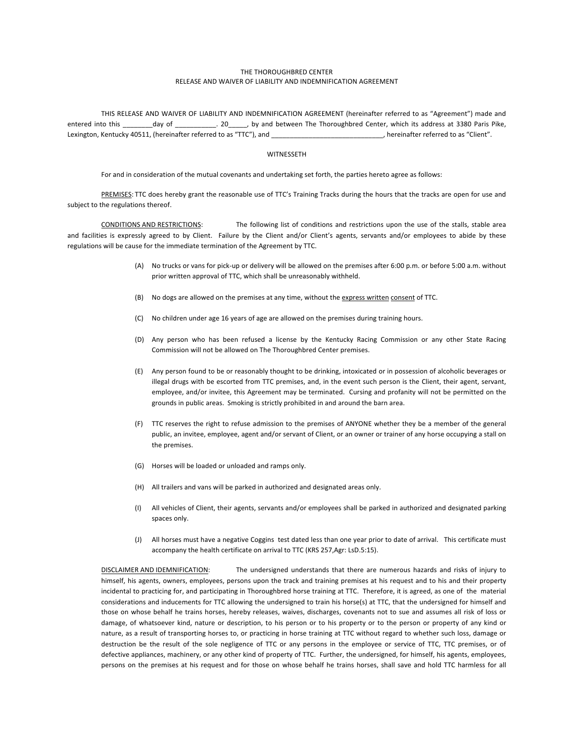## THE
THOROUGHBRED
CENTER RELEASE
AND
WAIVER
OF
LIABILITY
AND
INDEMNIFICATION
AGREEMENT

THIS RELEASE AND WAIVER OF LIABILITY AND INDEMNIFICATION AGREEMENT (hereinafter referred to as "Agreement") made and entered
 into
 this
 \_\_\_\_\_\_\_\_day
 of
 \_\_\_\_\_\_\_\_\_\_\_.
 20\_\_\_\_\_,
 by
 and
 between
 The
 Thoroughbred
 Center,
 which
 its
 address
 at
 3380
 Paris
 Pike, Lexington, Kentucky 40511, (hereinafter referred to as "TTC"), and \_\_\_\_\_\_\_\_\_\_\_\_\_\_\_\_\_\_\_\_\_\_\_\_\_\_\_\_\_\_\_\_, hereinafter referred to as "Client".

## WITNESSETH

For and in consideration of the mutual covenants and undertaking set forth, the parties hereto agree as follows:

PREMISES: TTC does hereby grant the reasonable use of TTC's Training Tracks during the hours that the tracks are open for use and subject to the regulations thereof.

CONDITIONS AND RESTRICTIONS: The following list of conditions and restrictions upon the use of the stalls, stable area and facilities is expressly agreed to by Client. Failure by the Client and/or Client's agents, servants and/or employees to abide by these regulations will be cause for the immediate termination of the Agreement by TTC.

- (A) No trucks or vans for pick-up or delivery will be allowed on the premises after 6:00 p.m. or before 5:00 a.m. without prior
written
approval
of
TTC,
which
shall
be
unreasonably
withheld.
- (B) No
dogs
are
allowed
on
the
premises
at
any
time,
without
the
express
written consent
of
TTC.
- (C) No
children
under
age
16
years
of
age
are
allowed
on
the
premises
during
training
hours.
- (D) Any person who has been refused a license by the Kentucky Racing Commission or any other State Racing Commission
will
not
be
allowed
on
The
Thoroughbred
Center
premises.
- (E) Any
person
found
to
be
or
reasonably
thought
to
be
drinking,
intoxicated
or
in
possession
of
alcoholic
beverages
or illegal drugs with be escorted from TTC premises, and, in the event such person is the Client, their agent, servant, employee, and/or invitee, this Agreement may be terminated. Cursing and profanity will not be permitted on the grounds
in
public
areas.

Smoking
is
strictly
prohibited
in
and
around
the
barn
area.
- (F) TTC reserves the right to refuse admission to the premises of ANYONE whether they be a member of the general public, an invitee, employee, agent and/or servant of Client, or an owner or trainer of any horse occupying a stall on the
premises.
- (G) Horses
will
be
loaded
or
unloaded
and
ramps
only.
- (H) All
trailers
and
vans
will
be
parked
in
authorized
and
designated
areas
only.
- (I) All
vehicles
of
Client,
their
agents,
servants
and/or
employees
shall
be
parked
in
authorized
and
designated
parking spaces
only.
- (J) All horses must have a negative Coggins test dated less than one year prior to date of arrival. This certificate must accompany the health certificate on arrival to TTC (KRS 257, Agr: LsD.5:15).

DISCLAIMER AND IDEMNIFICATION: The undersigned understands that there are numerous hazards and risks of injury to himself, his agents, owners, employees, persons upon the track and training premises at his request and to his and their property incidental to practicing for, and participating in Thoroughbred horse training at TTC. Therefore, it is agreed, as one of the material considerations and inducements for TTC allowing the undersigned to train his horse(s) at TTC, that the undersigned for himself and those on whose behalf he trains horses, hereby releases, waives, discharges, covenants not to sue and assumes all risk of loss or damage, of whatsoever kind, nature or description, to his person or to his property or to the person or property of any kind or nature, as a result of transporting horses to, or practicing in horse training at TTC without regard to whether such loss, damage or destruction be the result of the sole negligence of TTC or any persons in the employee or service of TTC, TTC premises, or of defective appliances, machinery, or any other kind of property of TTC. Further, the undersigned, for himself, his agents, employees, persons on the premises at his request and for those on whose behalf he trains horses, shall save and hold TTC harmless for all